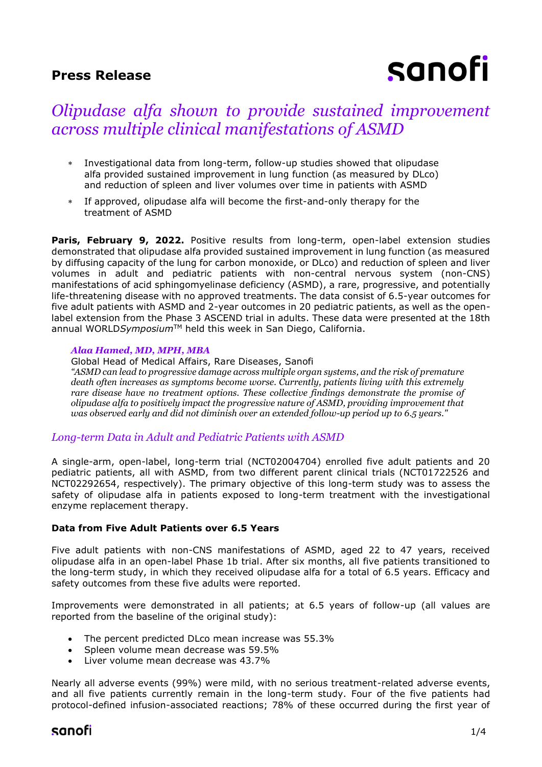## **Press Release**

# sanofi

# *Olipudase alfa shown to provide sustained improvement across multiple clinical manifestations of ASMD*

- Investigational data from long-term, follow-up studies showed that olipudase alfa provided sustained improvement in lung function (as measured by DLco) and reduction of spleen and liver volumes over time in patients with ASMD
- If approved, olipudase alfa will become the first-and-only therapy for the treatment of ASMD

**Paris, February 9, 2022.** Positive results from long-term, open-label extension studies demonstrated that olipudase alfa provided sustained improvement in lung function (as measured by diffusing capacity of the lung for carbon monoxide, or DLco) and reduction of spleen and liver volumes in adult and pediatric patients with non-central nervous system (non-CNS) manifestations of acid sphingomyelinase deficiency (ASMD), a rare, progressive, and potentially life-threatening disease with no approved treatments. The data consist of 6.5-year outcomes for five adult patients with ASMD and 2-year outcomes in 20 pediatric patients, as well as the openlabel extension from the Phase 3 ASCEND trial in adults. These data were presented at the 18th annual WORLDSymposium<sup>™</sup> held this week in San Diego, California.

#### *Alaa Hamed, MD, MPH, MBA*

Global Head of Medical Affairs, Rare Diseases, Sanofi

*"ASMD can lead to progressive damage across multiple organ systems, and the risk of premature death often increases as symptoms become worse. Currently, patients living with this extremely rare disease have no treatment options. These collective findings demonstrate the promise of olipudase alfa to positively impact the progressive nature of ASMD, providing improvement that was observed early and did not diminish over an extended follow-up period up to 6.5 years."*

## *Long-term Data in Adult and Pediatric Patients with ASMD*

A single-arm, open-label, long-term trial (NCT02004704) enrolled five adult patients and 20 pediatric patients, all with ASMD, from two different parent clinical trials (NCT01722526 and NCT02292654, respectively). The primary objective of this long-term study was to assess the safety of olipudase alfa in patients exposed to long-term treatment with the investigational enzyme replacement therapy.

#### **Data from Five Adult Patients over 6.5 Years**

Five adult patients with non-CNS manifestations of ASMD, aged 22 to 47 years, received olipudase alfa in an open-label Phase 1b trial. After six months, all five patients transitioned to the long-term study, in which they received olipudase alfa for a total of 6.5 years. Efficacy and safety outcomes from these five adults were reported.

Improvements were demonstrated in all patients; at 6.5 years of follow-up (all values are reported from the baseline of the original study):

- The percent predicted DLco mean increase was 55.3%
- Spleen volume mean decrease was 59.5%
- Liver volume mean decrease was 43.7%

Nearly all adverse events (99%) were mild, with no serious treatment-related adverse events, and all five patients currently remain in the long-term study. Four of the five patients had protocol-defined infusion-associated reactions; 78% of these occurred during the first year of

# sanofi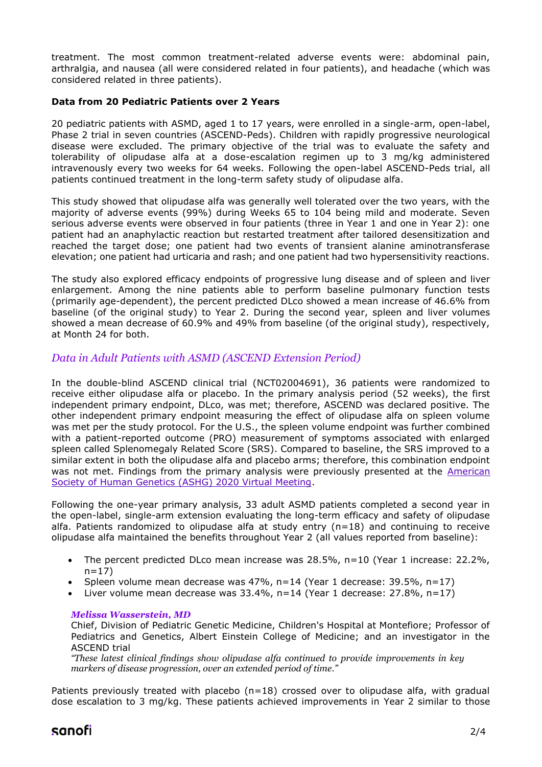treatment. The most common treatment-related adverse events were: abdominal pain, arthralgia, and nausea (all were considered related in four patients), and headache (which was considered related in three patients).

#### **Data from 20 Pediatric Patients over 2 Years**

20 pediatric patients with ASMD, aged 1 to 17 years, were enrolled in a single-arm, open-label, Phase 2 trial in seven countries (ASCEND-Peds). Children with rapidly progressive neurological disease were excluded. The primary objective of the trial was to evaluate the safety and tolerability of olipudase alfa at a dose-escalation regimen up to 3 mg/kg administered intravenously every two weeks for 64 weeks. Following the open-label ASCEND-Peds trial, all patients continued treatment in the long-term safety study of olipudase alfa.

This study showed that olipudase alfa was generally well tolerated over the two years, with the majority of adverse events (99%) during Weeks 65 to 104 being mild and moderate. Seven serious adverse events were observed in four patients (three in Year 1 and one in Year 2): one patient had an anaphylactic reaction but restarted treatment after tailored desensitization and reached the target dose; one patient had two events of transient alanine aminotransferase elevation; one patient had urticaria and rash; and one patient had two hypersensitivity reactions.

The study also explored efficacy endpoints of progressive lung disease and of spleen and liver enlargement. Among the nine patients able to perform baseline pulmonary function tests (primarily age-dependent), the percent predicted DLco showed a mean increase of 46.6% from baseline (of the original study) to Year 2. During the second year, spleen and liver volumes showed a mean decrease of 60.9% and 49% from baseline (of the original study), respectively, at Month 24 for both.

## *Data in Adult Patients with ASMD (ASCEND Extension Period)*

In the double-blind ASCEND clinical trial (NCT02004691), 36 patients were randomized to receive either olipudase alfa or placebo. In the primary analysis period (52 weeks), the first independent primary endpoint, DLco, was met; therefore, ASCEND was declared positive. The other independent primary endpoint measuring the effect of olipudase alfa on spleen volume was met per the study protocol. For the U.S., the spleen volume endpoint was further combined with a patient-reported outcome (PRO) measurement of symptoms associated with enlarged spleen called Splenomegaly Related Score (SRS). Compared to baseline, the SRS improved to a similar extent in both the olipudase alfa and placebo arms; therefore, this combination endpoint was not met. Findings from the primary analysis were previously presented at the **American** [Society of Human Genetics \(ASHG\) 2020 Virtual Meeting.](https://www.news.sanofi.us/2020-10-27-Olipudase-alfa-demonstrated-significant-improvement-in-lung-function-and-spleen-volume-in-patients-with-ASMD)

Following the one-year primary analysis, 33 adult ASMD patients completed a second year in the open-label, single-arm extension evaluating the long-term efficacy and safety of olipudase alfa. Patients randomized to olipudase alfa at study entry  $(n=18)$  and continuing to receive olipudase alfa maintained the benefits throughout Year 2 (all values reported from baseline):

- The percent predicted DLco mean increase was 28.5%, n=10 (Year 1 increase: 22.2%,  $n=17$ )
- Spleen volume mean decrease was 47%, n=14 (Year 1 decrease: 39.5%, n=17)
- Liver volume mean decrease was 33.4%, n=14 (Year 1 decrease: 27.8%, n=17)

#### *Melissa Wasserstein, MD*

Chief, Division of Pediatric Genetic Medicine, Children's Hospital at Montefiore; Professor of Pediatrics and Genetics, Albert Einstein College of Medicine; and an investigator in the ASCEND trial

*"These latest clinical findings show olipudase alfa continued to provide improvements in key markers of disease progression, over an extended period of time."*

Patients previously treated with placebo  $(n=18)$  crossed over to olipudase alfa, with gradual dose escalation to 3 mg/kg. These patients achieved improvements in Year 2 similar to those

# sanofi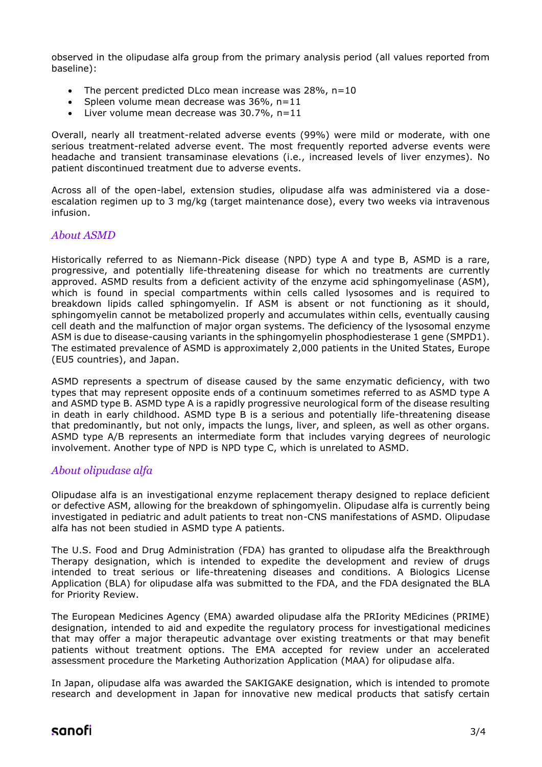observed in the olipudase alfa group from the primary analysis period (all values reported from baseline):

- The percent predicted DLco mean increase was 28%, n=10
- Spleen volume mean decrease was 36%, n=11
- Liver volume mean decrease was  $30.7\%$ , n=11

Overall, nearly all treatment-related adverse events (99%) were mild or moderate, with one serious treatment-related adverse event. The most frequently reported adverse events were headache and transient transaminase elevations (i.e., increased levels of liver enzymes). No patient discontinued treatment due to adverse events.

Across all of the open-label, extension studies, olipudase alfa was administered via a doseescalation regimen up to 3 mg/kg (target maintenance dose), every two weeks via intravenous infusion.

## *About ASMD*

Historically referred to as Niemann-Pick disease (NPD) type A and type B, ASMD is a rare, progressive, and potentially life-threatening disease for which no treatments are currently approved. ASMD results from a deficient activity of the enzyme acid sphingomyelinase (ASM), which is found in special compartments within cells called lysosomes and is required to breakdown lipids called sphingomyelin. If ASM is absent or not functioning as it should, sphingomyelin cannot be metabolized properly and accumulates within cells, eventually causing cell death and the malfunction of major organ systems. The deficiency of the lysosomal enzyme ASM is due to disease-causing variants in the sphingomyelin phosphodiesterase 1 gene (SMPD1). The estimated prevalence of ASMD is approximately 2,000 patients in the United States, Europe (EU5 countries), and Japan.

ASMD represents a spectrum of disease caused by the same enzymatic deficiency, with two types that may represent opposite ends of a continuum sometimes referred to as ASMD type A and ASMD type B. ASMD type A is a rapidly progressive neurological form of the disease resulting in death in early childhood. ASMD type B is a serious and potentially life-threatening disease that predominantly, but not only, impacts the lungs, liver, and spleen, as well as other organs. ASMD type A/B represents an intermediate form that includes varying degrees of neurologic involvement. Another type of NPD is NPD type C, which is unrelated to ASMD.

## *About olipudase alfa*

Olipudase alfa is an investigational enzyme replacement therapy designed to replace deficient or defective ASM, allowing for the breakdown of sphingomyelin. Olipudase alfa is currently being investigated in pediatric and adult patients to treat non-CNS manifestations of ASMD. Olipudase alfa has not been studied in ASMD type A patients.

The U.S. Food and Drug Administration (FDA) has granted to olipudase alfa the Breakthrough Therapy designation, which is intended to expedite the development and review of drugs intended to treat serious or life-threatening diseases and conditions. A Biologics License Application (BLA) for olipudase alfa was submitted to the FDA, and the FDA designated the BLA for Priority Review.

The European Medicines Agency (EMA) awarded olipudase alfa the PRIority MEdicines (PRIME) designation, intended to aid and expedite the regulatory process for investigational medicines that may offer a major therapeutic advantage over existing treatments or that may benefit patients without treatment options. The EMA accepted for review under an accelerated assessment procedure the Marketing Authorization Application (MAA) for olipudase alfa.

In Japan, olipudase alfa was awarded the SAKIGAKE designation, which is intended to promote research and development in Japan for innovative new medical products that satisfy certain

## sanofi